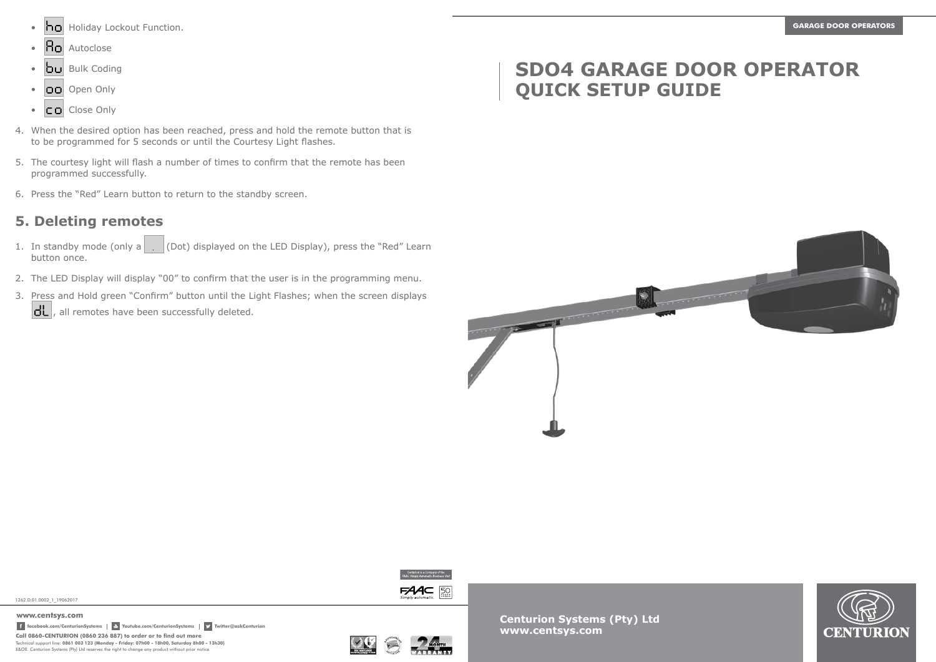- **ho** Holiday Lockout Function. **GARAGE DOOR OPERATORS GARAGE DOOR OPERATORS**
- $\cdot$   $\overline{B}$  Autoclose
- $\overline{b}$ u Bulk Coding
- OO Open Only
- $\bullet$   $\Box$   $\Box$  Close Only
- 4. When the desired option has been reached, press and hold the remote button that is to be programmed for 5 seconds or until the Courtesy Light flashes.
- 5. The courtesy light will flash a number of times to confirm that the remote has been programmed successfully.
- 6. Press the "Red" Learn button to return to the standby screen.

### **5. Deleting remotes**

- 1. In standby mode (only a  $\vert$  (Dot) displayed on the LED Display), press the "Red" Learn button once.
- 2. The LED Display will display "00" to confirm that the user is in the programming menu.
- 3. Press and Hold green "Confirm" button until the Light Flashes; when the screen displays  $\left| \frac{dL}{dt} \right|$ , all remotes have been successfully deleted.

# **SDO4 GARAGE DOOR OPERATOR QUICK SETUP GUIDE**



 $FAC$  50

1262.D.01.0002\_1\_19062017

**Call 0860-CENTURION (0860 236 887) to order or to find out more** Technical support line: **0861 003 123 (Monday - Friday: 07h00 - 18h00, Saturday 8h00 - 13h30)** E&OE. Centurion Systems (Pty) Ltd reserves the right to change any product without prior notice **www.centsys.com facebook.com/CenturionSystems Youtube.com/CenturionSystems Twitter@askCenturion**



**Centurion Systems (Pty) Ltd www.centsys.com**